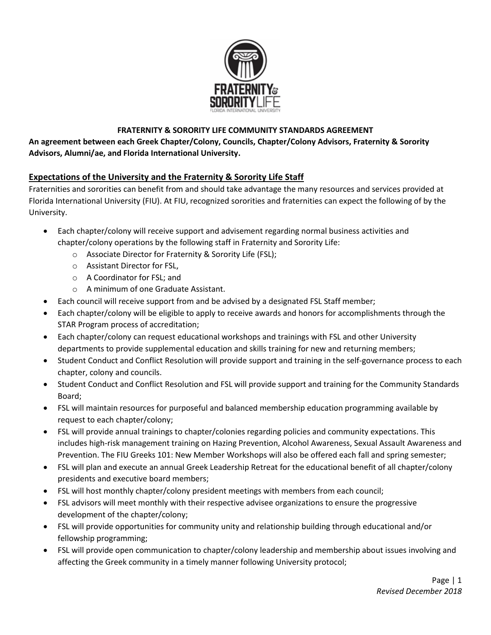

## **FRATERNITY & SORORITY LIFE COMMUNITY STANDARDS AGREEMENT**

**An agreement between each Greek Chapter/Colony, Councils, Chapter/Colony Advisors, Fraternity & Sorority Advisors, Alumni/ae, and Florida International University.**

# **Expectations of the University and the Fraternity & Sorority Life Staff**

Fraternities and sororities can benefit from and should take advantage the many resources and services provided at Florida International University (FIU). At FIU, recognized sororities and fraternities can expect the following of by the University.

- Each chapter/colony will receive support and advisement regarding normal business activities and chapter/colony operations by the following staff in Fraternity and Sorority Life:
	- o Associate Director for Fraternity & Sorority Life (FSL);
	- o Assistant Director for FSL,
	- o A Coordinator for FSL; and
	- o A minimum of one Graduate Assistant.
- Each council will receive support from and be advised by a designated FSL Staff member;
- Each chapter/colony will be eligible to apply to receive awards and honors for accomplishments through the STAR Program process of accreditation;
- Each chapter/colony can request educational workshops and trainings with FSL and other University departments to provide supplemental education and skills training for new and returning members;
- Student Conduct and Conflict Resolution will provide support and training in the self-governance process to each chapter, colony and councils.
- Student Conduct and Conflict Resolution and FSL will provide support and training for the Community Standards Board;
- FSL will maintain resources for purposeful and balanced membership education programming available by request to each chapter/colony;
- FSL will provide annual trainings to chapter/colonies regarding policies and community expectations. This includes high-risk management training on Hazing Prevention, Alcohol Awareness, Sexual Assault Awareness and Prevention. The FIU Greeks 101: New Member Workshops will also be offered each fall and spring semester;
- FSL will plan and execute an annual Greek Leadership Retreat for the educational benefit of all chapter/colony presidents and executive board members;
- FSL will host monthly chapter/colony president meetings with members from each council;
- FSL advisors will meet monthly with their respective advisee organizations to ensure the progressive development of the chapter/colony;
- FSL will provide opportunities for community unity and relationship building through educational and/or fellowship programming;
- FSL will provide open communication to chapter/colony leadership and membership about issues involving and affecting the Greek community in a timely manner following University protocol;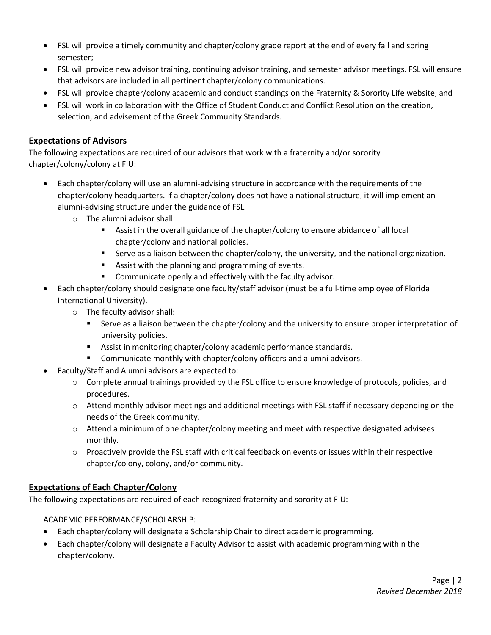- FSL will provide a timely community and chapter/colony grade report at the end of every fall and spring semester;
- FSL will provide new advisor training, continuing advisor training, and semester advisor meetings. FSL will ensure that advisors are included in all pertinent chapter/colony communications.
- FSL will provide chapter/colony academic and conduct standings on the Fraternity & Sorority Life website; and
- FSL will work in collaboration with the Office of Student Conduct and Conflict Resolution on the creation, selection, and advisement of the Greek Community Standards.

# **Expectations of Advisors**

The following expectations are required of our advisors that work with a fraternity and/or sorority chapter/colony/colony at FIU:

- Each chapter/colony will use an alumni-advising structure in accordance with the requirements of the chapter/colony headquarters. If a chapter/colony does not have a national structure, it will implement an alumni-advising structure under the guidance of FSL.
	- o The alumni advisor shall:
		- **EXECT** Assist in the overall guidance of the chapter/colony to ensure abidance of all local chapter/colony and national policies.
		- Serve as a liaison between the chapter/colony, the university, and the national organization.
		- Assist with the planning and programming of events.
		- Communicate openly and effectively with the faculty advisor.
- Each chapter/colony should designate one faculty/staff advisor (must be a full-time employee of Florida International University).
	- o The faculty advisor shall:
		- **EXECT** Serve as a liaison between the chapter/colony and the university to ensure proper interpretation of university policies.
		- Assist in monitoring chapter/colony academic performance standards.
		- Communicate monthly with chapter/colony officers and alumni advisors.
- Faculty/Staff and Alumni advisors are expected to:
	- o Complete annual trainings provided by the FSL office to ensure knowledge of protocols, policies, and procedures.
	- o Attend monthly advisor meetings and additional meetings with FSL staff if necessary depending on the needs of the Greek community.
	- $\circ$  Attend a minimum of one chapter/colony meeting and meet with respective designated advisees monthly.
	- $\circ$  Proactively provide the FSL staff with critical feedback on events or issues within their respective chapter/colony, colony, and/or community.

# **Expectations of Each Chapter/Colony**

The following expectations are required of each recognized fraternity and sorority at FIU:

ACADEMIC PERFORMANCE/SCHOLARSHIP:

- Each chapter/colony will designate a Scholarship Chair to direct academic programming.
- Each chapter/colony will designate a Faculty Advisor to assist with academic programming within the chapter/colony.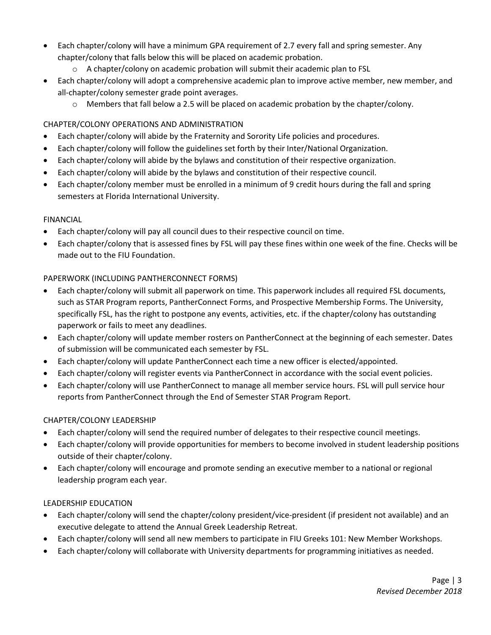- Each chapter/colony will have a minimum GPA requirement of 2.7 every fall and spring semester. Any chapter/colony that falls below this will be placed on academic probation.
	- o A chapter/colony on academic probation will submit their academic plan to FSL
- Each chapter/colony will adopt a comprehensive academic plan to improve active member, new member, and all-chapter/colony semester grade point averages.
	- o Members that fall below a 2.5 will be placed on academic probation by the chapter/colony.

# CHAPTER/COLONY OPERATIONS AND ADMINISTRATION

- Each chapter/colony will abide by the Fraternity and Sorority Life policies and procedures.
- Each chapter/colony will follow the guidelines set forth by their Inter/National Organization.
- Each chapter/colony will abide by the bylaws and constitution of their respective organization.
- Each chapter/colony will abide by the bylaws and constitution of their respective council.
- Each chapter/colony member must be enrolled in a minimum of 9 credit hours during the fall and spring semesters at Florida International University.

#### FINANCIAL

- Each chapter/colony will pay all council dues to their respective council on time.
- Each chapter/colony that is assessed fines by FSL will pay these fines within one week of the fine. Checks will be made out to the FIU Foundation.

## PAPERWORK (INCLUDING PANTHERCONNECT FORMS)

- Each chapter/colony will submit all paperwork on time. This paperwork includes all required FSL documents, such as STAR Program reports, PantherConnect Forms, and Prospective Membership Forms. The University, specifically FSL, has the right to postpone any events, activities, etc. if the chapter/colony has outstanding paperwork or fails to meet any deadlines.
- Each chapter/colony will update member rosters on PantherConnect at the beginning of each semester. Dates of submission will be communicated each semester by FSL.
- Each chapter/colony will update PantherConnect each time a new officer is elected/appointed.
- Each chapter/colony will register events via PantherConnect in accordance with the social event policies.
- Each chapter/colony will use PantherConnect to manage all member service hours. FSL will pull service hour reports from PantherConnect through the End of Semester STAR Program Report.

## CHAPTER/COLONY LEADERSHIP

- Each chapter/colony will send the required number of delegates to their respective council meetings.
- Each chapter/colony will provide opportunities for members to become involved in student leadership positions outside of their chapter/colony.
- Each chapter/colony will encourage and promote sending an executive member to a national or regional leadership program each year.

## LEADERSHIP EDUCATION

- Each chapter/colony will send the chapter/colony president/vice-president (if president not available) and an executive delegate to attend the Annual Greek Leadership Retreat.
- Each chapter/colony will send all new members to participate in FIU Greeks 101: New Member Workshops.
- Each chapter/colony will collaborate with University departments for programming initiatives as needed.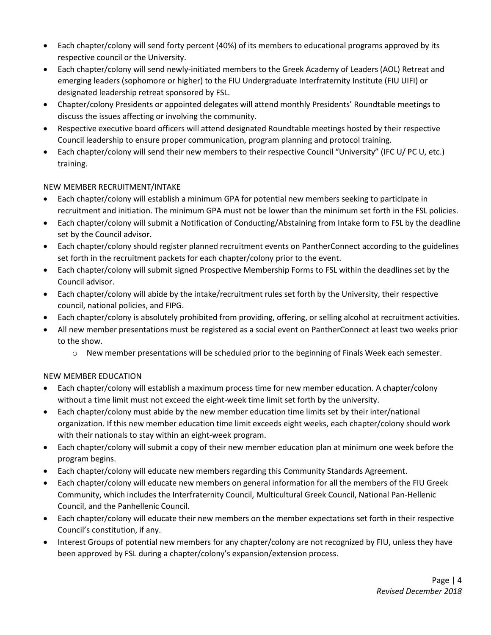- Each chapter/colony will send forty percent (40%) of its members to educational programs approved by its respective council or the University.
- Each chapter/colony will send newly-initiated members to the Greek Academy of Leaders (AOL) Retreat and emerging leaders (sophomore or higher) to the FIU Undergraduate Interfraternity Institute (FIU UIFI) or designated leadership retreat sponsored by FSL.
- Chapter/colony Presidents or appointed delegates will attend monthly Presidents' Roundtable meetings to discuss the issues affecting or involving the community.
- Respective executive board officers will attend designated Roundtable meetings hosted by their respective Council leadership to ensure proper communication, program planning and protocol training.
- Each chapter/colony will send their new members to their respective Council "University" (IFC U/ PC U, etc.) training.

## NEW MEMBER RECRUITMENT/INTAKE

- Each chapter/colony will establish a minimum GPA for potential new members seeking to participate in recruitment and initiation. The minimum GPA must not be lower than the minimum set forth in the FSL policies.
- Each chapter/colony will submit a Notification of Conducting/Abstaining from Intake form to FSL by the deadline set by the Council advisor.
- Each chapter/colony should register planned recruitment events on PantherConnect according to the guidelines set forth in the recruitment packets for each chapter/colony prior to the event.
- Each chapter/colony will submit signed Prospective Membership Forms to FSL within the deadlines set by the Council advisor.
- Each chapter/colony will abide by the intake/recruitment rules set forth by the University, their respective council, national policies, and FIPG.
- Each chapter/colony is absolutely prohibited from providing, offering, or selling alcohol at recruitment activities.
- All new member presentations must be registered as a social event on PantherConnect at least two weeks prior to the show.
	- o New member presentations will be scheduled prior to the beginning of Finals Week each semester.

## NEW MEMBER EDUCATION

- Each chapter/colony will establish a maximum process time for new member education. A chapter/colony without a time limit must not exceed the eight-week time limit set forth by the university.
- Each chapter/colony must abide by the new member education time limits set by their inter/national organization. If this new member education time limit exceeds eight weeks, each chapter/colony should work with their nationals to stay within an eight-week program.
- Each chapter/colony will submit a copy of their new member education plan at minimum one week before the program begins.
- Each chapter/colony will educate new members regarding this Community Standards Agreement.
- Each chapter/colony will educate new members on general information for all the members of the FIU Greek Community, which includes the Interfraternity Council, Multicultural Greek Council, National Pan-Hellenic Council, and the Panhellenic Council.
- Each chapter/colony will educate their new members on the member expectations set forth in their respective Council's constitution, if any.
- Interest Groups of potential new members for any chapter/colony are not recognized by FIU, unless they have been approved by FSL during a chapter/colony's expansion/extension process.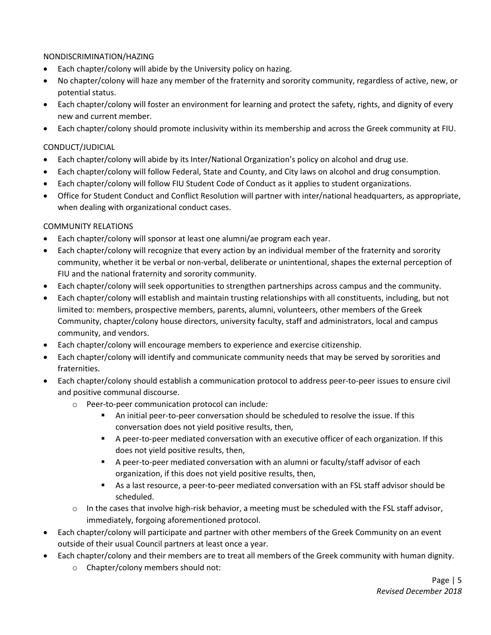## NONDISCRIMINATION/HAZING

- Each chapter/colony will abide by the University policy on hazing.
- No chapter/colony will haze any member of the fraternity and sorority community, regardless of active, new, or potential status.
- Each chapter/colony will foster an environment for learning and protect the safety, rights, and dignity of every new and current member.
- Each chapter/colony should promote inclusivity within its membership and across the Greek community at FIU.

#### CONDUCT/JUDICIAL

- Each chapter/colony will abide by its Inter/National Organization's policy on alcohol and drug use.
- Each chapter/colony will follow Federal, State and County, and City laws on alcohol and drug consumption.
- Each chapter/colony will follow FIU Student Code of Conduct as it applies to student organizations.
- Office for Student Conduct and Conflict Resolution will partner with inter/national headquarters, as appropriate, when dealing with organizational conduct cases.

#### COMMUNITY RELATIONS

- Each chapter/colony will sponsor at least one alumni/ae program each year.
- Each chapter/colony will recognize that every action by an individual member of the fraternity and sorority community, whether it be verbal or non-verbal, deliberate or unintentional, shapes the external perception of FIU and the national fraternity and sorority community.
- Each chapter/colony will seek opportunities to strengthen partnerships across campus and the community.
- Each chapter/colony will establish and maintain trusting relationships with all constituents, including, but not limited to: members, prospective members, parents, alumni, volunteers, other members of the Greek Community, chapter/colony house directors, university faculty, staff and administrators, local and campus community, and vendors.
- Each chapter/colony will encourage members to experience and exercise citizenship.
- Each chapter/colony will identify and communicate community needs that may be served by sororities and fraternities.
- Each chapter/colony should establish a communication protocol to address peer-to-peer issues to ensure civil and positive communal discourse.
	- o Peer-to-peer communication protocol can include:
		- **•** An initial peer-to-peer conversation should be scheduled to resolve the issue. If this conversation does not yield positive results, then,
		- **•** A peer-to-peer mediated conversation with an executive officer of each organization. If this does not yield positive results, then,
		- **EX A peer-to-peer mediated conversation with an alumni or faculty/staff advisor of each** organization, if this does not yield positive results, then,
		- As a last resource, a peer-to-peer mediated conversation with an FSL staff advisor should be scheduled.
	- $\circ$  In the cases that involve high-risk behavior, a meeting must be scheduled with the FSL staff advisor, immediately, forgoing aforementioned protocol.
- Each chapter/colony will participate and partner with other members of the Greek Community on an event outside of their usual Council partners at least once a year.
- Each chapter/colony and their members are to treat all members of the Greek community with human dignity.
	- o Chapter/colony members should not: